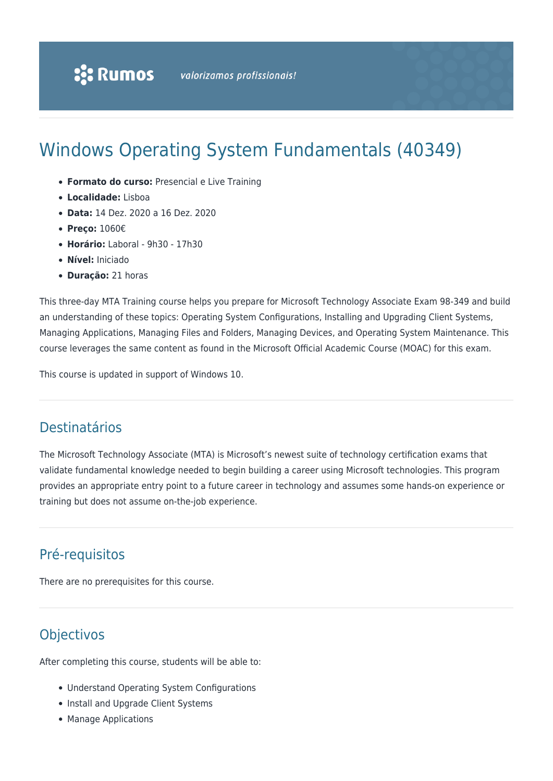# Windows Operating System Fundamentals (40349)

- **Formato do curso:** Presencial e Live Training
- **Localidade:** Lisboa
- **Data:** 14 Dez. 2020 a 16 Dez. 2020
- **Preço:** 1060€
- **Horário:** Laboral 9h30 17h30
- **Nível:** Iniciado
- **Duração:** 21 horas

This three-day MTA Training course helps you prepare for Microsoft Technology Associate Exam 98-349 and build an understanding of these topics: Operating System Configurations, Installing and Upgrading Client Systems, Managing Applications, Managing Files and Folders, Managing Devices, and Operating System Maintenance. This course leverages the same content as found in the Microsoft Official Academic Course (MOAC) for this exam.

This course is updated in support of Windows 10.

#### Destinatários

The Microsoft Technology Associate (MTA) is Microsoft's newest suite of technology certification exams that validate fundamental knowledge needed to begin building a career using Microsoft technologies. This program provides an appropriate entry point to a future career in technology and assumes some hands-on experience or training but does not assume on-the-job experience.

## Pré-requisitos

There are no prerequisites for this course.

## **Objectivos**

After completing this course, students will be able to:

- Understand Operating System Configurations
- Install and Upgrade Client Systems
- Manage Applications